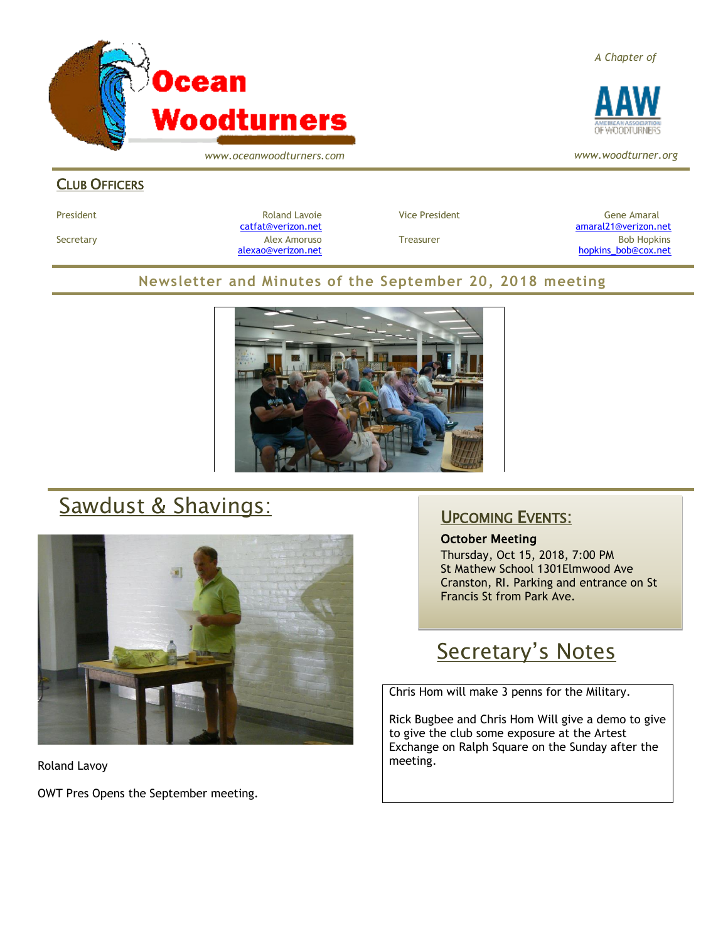

*www.oceanwoodturners.com*

**CLUB OFFICERS** 

President and Roland Lavoie Manuel President Character Gene Amaral Character Character Character Character Character

[catfat@verizon.net](file:///C:/Users/OTEC/Desktop/OW/catfat@verizon.net) [amaral21@verizon.net](mailto:amaral21@verizon.net) Secretary Alex Amoruso Treasurer Bob Hopkins [alexao@verizon.net](mailto:alexao@verizon.net) [hopkins\\_bob@cox.net](mailto:hopkins_bob@cox.net)

### **Newsletter and Minutes of the September 20, 2018 meeting**



# Sawdust & Shavings:



Roland Lavoy

OWT Pres Opens the September meeting.

### UPCOMING EVENTS:

#### October Meeting

Thursday, Oct 15, 2018, 7:00 PM St Mathew School 1301Elmwood Ave Cranston, RI. Parking and entrance on St Francis St from Park Ave.

## Secretary's Notes

Chris Hom will make 3 penns for the Military.

Rick Bugbee and Chris Hom Will give a demo to give to give the club some exposure at the Artest Exchange on Ralph Square on the Sunday after the meeting.

*A Chapter of*



*www.woodturner.org*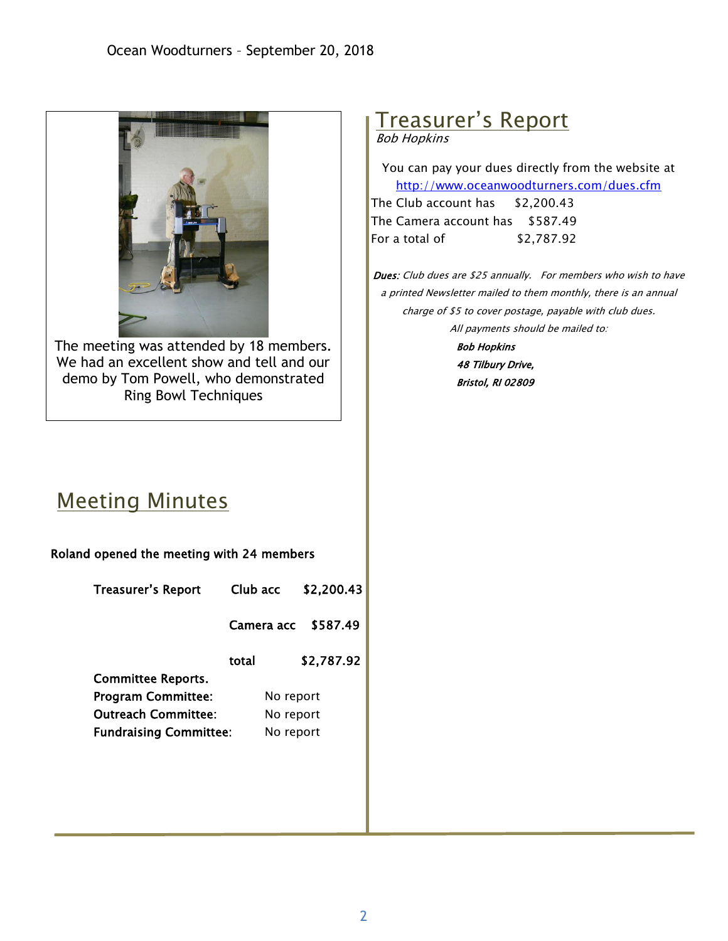

The meeting was attended by 18 members. We had an excellent show and tell and our demo by Tom Powell, who demonstrated Ring Bowl Techniques

# Treasurer's Report

Bob Hopkins

You can pay your dues directly from the website at <http://www.oceanwoodturners.com/dues.cfm> The Club account has \$2,200.43

The Camera account has \$587.49 For a total of \$2,787.92

Dues: Club dues are \$25 annually. For members who wish to have a printed Newsletter mailed to them monthly, there is an annual charge of \$5 to cover postage, payable with club dues. All payments should be mailed to:

> Bob Hopkins 48 Tilbury Drive, Bristol, RI 02809

## Meeting Minutes

| Roland opened the meeting with 24 members |            |            |
|-------------------------------------------|------------|------------|
| <b>Treasurer's Report</b>                 | Club acc   | \$2,200.43 |
|                                           | Camera acc | \$587.49   |
|                                           | total      | \$2,787.92 |
| <b>Committee Reports.</b>                 |            |            |
| <b>Program Committee:</b>                 | No report  |            |
| <b>Outreach Committee:</b>                | No report  |            |
| <b>Fundraising Committee:</b>             | No report  |            |
|                                           |            |            |
|                                           |            |            |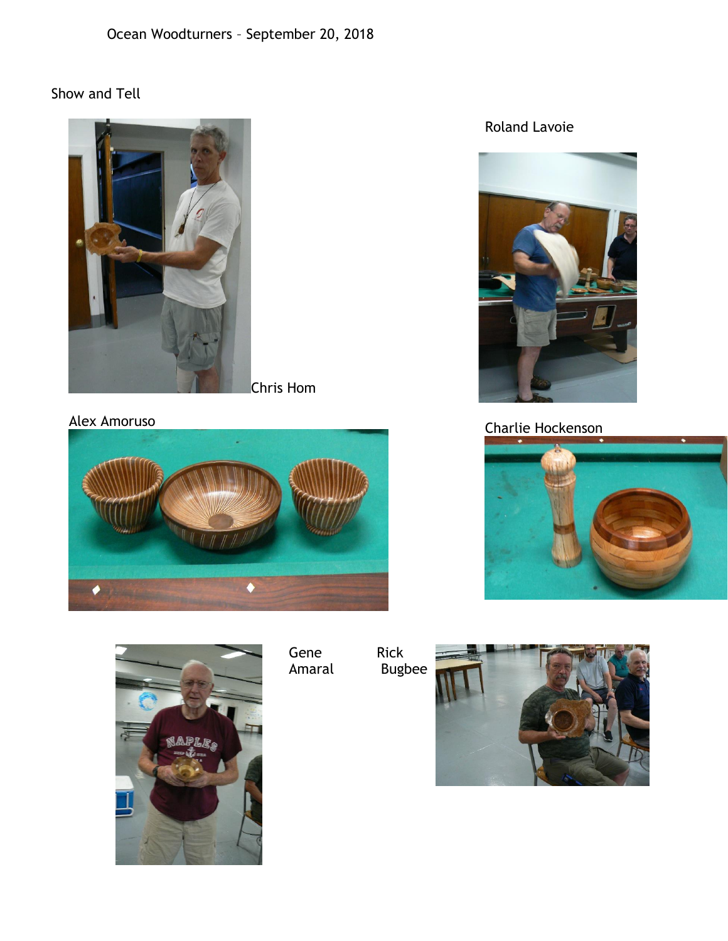### Show and Tell



Chris Hom

Alex Amoruso





Gene Amaral Rick Bugbee





## Charlie Hockenson